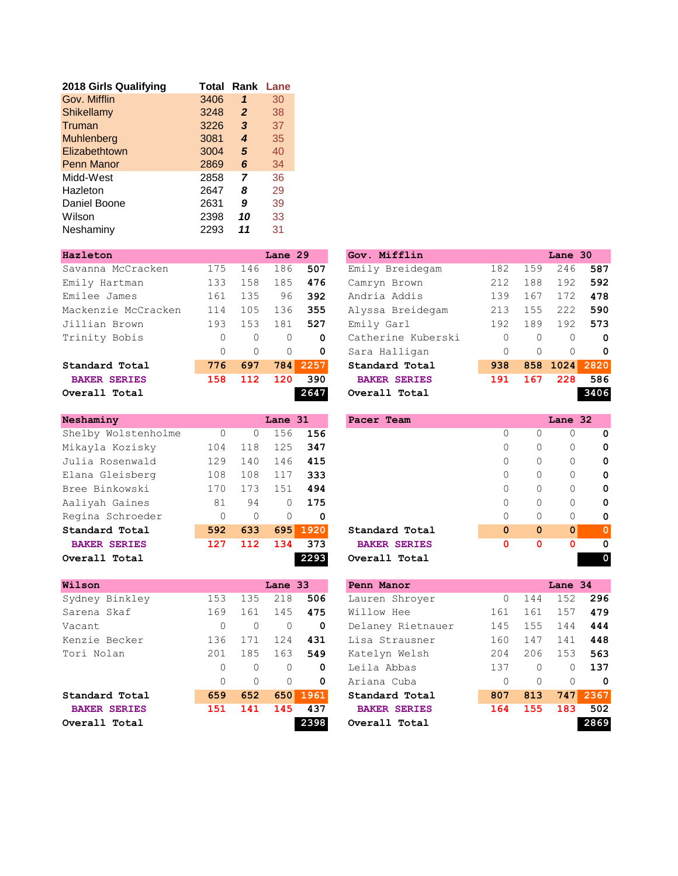| 2018 Girls Qualifying | Total | Rank         | Lane |
|-----------------------|-------|--------------|------|
| Gov. Mifflin          | 3406  | 1            | 30   |
| Shikellamy            | 3248  | $\mathbf{2}$ | 38   |
| Truman                | 3226  | 3            | 37   |
| Muhlenberg            | 3081  | 4            | 35   |
| Elizabethtown         | 3004  | 5            | 40   |
| <b>Penn Manor</b>     | 2869  | 6            | 34   |
| Midd-West             | 2858  | 7            | 36   |
| Hazleton              | 2647  | 8            | 29   |
| Daniel Boone          | 2631  | 9            | 39   |
| Wilson                | 2398  | 10           | 33   |
| Neshaminy             | 2293  | 11           | 31   |

|          |          |          |      | Gov. Mifflin                  |          |          |          |                     |
|----------|----------|----------|------|-------------------------------|----------|----------|----------|---------------------|
| 175      | 146      | 186      | 507  | Emily Breidegam               | 182      | 159      | 246      | 587                 |
| 133      | 158      | 185      | 476  | Camryn Brown                  | 212      | 188      | 192      | 592                 |
| 161      | 135      | 96       | 392  | Andria Addis                  | 139      | 167      | 172      | 478                 |
| 114      | 105      | 136      | 355  | Alyssa Breidegam              | 213      | 155      | 222      | 590                 |
| 193      | 153      | 181      | 527  | Emily Garl                    | 192      | 189      | 192      | 573                 |
| $\Omega$ | $\Omega$ | $\Omega$ | 0    | Catherine Kuberski            | $\Omega$ | $\Omega$ | $\Omega$ | $\mathbf 0$         |
| $\Omega$ | $\Omega$ | $\Omega$ | 0    | Sara Halligan                 | $\Omega$ | $\Omega$ | $\Omega$ | 0                   |
| 776      | 697      |          | 2257 | Standard Total                | 938      |          |          | 2820                |
| 158      | 112      | 120      | 390  | <b>BAKER SERIES</b>           | 191      | 167      | 228      | 586                 |
|          |          |          |      | Overall Total                 |          |          |          | 3406                |
|          |          |          |      | Lane 29<br><b>784</b><br>2647 |          |          |          | Lane 30<br>858 1024 |

| Neshaminy           |          |          | Lane 31  |      | Pacer Team          |              |              | Lane 32      |             |
|---------------------|----------|----------|----------|------|---------------------|--------------|--------------|--------------|-------------|
| Shelby Wolstenholme | 0        | U        | 156      | 156  |                     | $\Omega$     | $\Omega$     | 0            | 0           |
| Mikayla Kozisky     | 104      | 118      | 125      | 347  |                     | 0            | 0            | 0            | 0           |
| Julia Rosenwald     | 129      | 140      | 146      | 415  |                     | $\Omega$     | $\Omega$     | $\Omega$     | 0           |
| Elana Gleisberg     | 108      | 108      | 117      | 333  |                     |              | $\Omega$     | 0            | 0           |
| Bree Binkowski      | 170      | 173      | 151      | 494  |                     | $\Omega$     | $\Omega$     | 0            | 0           |
| Aaliyah Gaines      | 81       | 94       | 0        | 175  |                     | $\Omega$     | $\Omega$     | $\Omega$     | 0           |
| Regina Schroeder    | $\Omega$ | $\Omega$ | $\Omega$ | 0    |                     | $\Omega$     | $\Omega$     | 0            | 0           |
| Standard Total      | 592      | 633      | 695      | 1920 | Standard Total      | $\mathbf{0}$ | $\mathbf{0}$ | $\mathbf{0}$ | $\mathbf 0$ |
| <b>BAKER SERIES</b> | 127      | 112      | 134      | 373  | <b>BAKER SERIES</b> | 0            | $\Omega$     | $\Omega$     | 0           |
| Overall Total       |          |          |          | 2293 | Overall Total       |              |              |              | 0           |

| Wilson              |          |          | Lane 33  |      | Penn Manor          |          |          | Lane 34    |      |
|---------------------|----------|----------|----------|------|---------------------|----------|----------|------------|------|
| Sydney Binkley      | 153      | 135      | 218      | 506  | Lauren Shroyer      | $\Omega$ | 144      | 152        | 296  |
| Sarena Skaf         | 169      | 161      | 145      | 475  | Willow Hee          | 161      | 161      | 157        | 479  |
| Vacant              | $\Omega$ | $\Omega$ | 0        | 0    | Delaney Rietnauer   | 145      | 155      | 144        | 444  |
| Kenzie Becker       | 136      | 171      | 124      | 431  | Lisa Strausner      | 160      | 147      | 141        | 448  |
| Tori Nolan          | 201      | 185      | 163      | 549  | Katelyn Welsh       | 204      | 206      | 153        | 563  |
|                     | $\Omega$ | $\Omega$ | $\Omega$ | 0    | Leila Abbas         | 137      | $\Omega$ | $\Omega$   | 137  |
|                     | $\Omega$ | $\Omega$ | $\Omega$ | 0    | Ariana Cuba         |          | $\Omega$ | $\Omega$   | 0    |
| Standard Total      | 659      | 652      | 650      | 1961 | Standard Total      | 807      | 813      | <b>747</b> | 2367 |
| <b>BAKER SERIES</b> | 151      | 141      | 145      | 437  | <b>BAKER SERIES</b> | 164      | 155      | 183        | 502  |
| Overall Total       |          |          |          | 2398 | Overall Total       |          |          |            | 2869 |

| <b>azleton</b>       |          |          | Lane 29    |             | Gov. Mifflin        |          |          | Lane 30  |             |
|----------------------|----------|----------|------------|-------------|---------------------|----------|----------|----------|-------------|
| avanna McCracken     | 175      | 146      | 186        | 507         | Emily Breidegam     | 182      | 159      | 246      | 587         |
| nily Hartman         | 133      | 158      | 185        | 476         | Camryn Brown        | 212      | 188      | 192      | 592         |
| nilee James          | 161      | 135      | 96         | 392         | Andria Addis        | 139      | 167      | 172      | 478         |
| ackenzie McCracken   | 114      | 105      | 136        | 355         | Alyssa Breidegam    | 213      | 155      | 222      | 590         |
| illian Brown         | 193      | 153      | 181        | 527         | Emily Garl          | 192      | 189      | 192      | 573         |
| cinity Bobis         | $\Omega$ | $\Omega$ | $\Omega$   | 0           | Catherine Kuberski  | $\Omega$ | $\Omega$ | $\Omega$ | 0           |
|                      |          | $\Omega$ | $\Omega$   | $\mathbf 0$ | Sara Halligan       | $\Omega$ | $\Omega$ | $\Omega$ | $\mathbf 0$ |
| tandard Total        | 776      | 697      | <b>784</b> | 2257        | Standard Total      | 938      |          | 858 1024 | 2820        |
| <b>BAKER SERIES</b>  | 158      | 112      | 120        | 390         | <b>BAKER SERIES</b> | 191      | 167      | 228      | 586         |
| <i>r</i> erall Total |          |          |            | 2647        | Overall Total       |          |          |          | 3406        |

| eshaminy             |          |          | Lane 31  |          | Pacer Team          |              |              | Lane 32      |             |
|----------------------|----------|----------|----------|----------|---------------------|--------------|--------------|--------------|-------------|
| helby Wolstenholme   | $\Omega$ | 0        | 156      | 156      |                     | 0            | 0            | 0            | 0           |
| ikayla Kozisky       | 104      | 118      | 125      | 347      |                     | 0            | 0            | 0            | 0           |
| ılia Rosenwald       | 129      | 140      | 146      | 415      |                     | $\mathbf{0}$ | 0            | $\Omega$     | 0           |
| lana Gleisberg       | 108      | 108      | 117      | 333      |                     | 0            | $\Omega$     | 0            | 0           |
| ree Binkowski        | 170      | 173      | 151      | 494      |                     | $\mathbf{0}$ | 0            | 0            | 0           |
| aliyah Gaines        | 81       | 94       | 0        | 175      |                     | 0            | 0            | 0            | 0           |
| egina Schroeder      | $\Omega$ | $\Omega$ | $\Omega$ | $\Omega$ |                     | $\Omega$     | $\Omega$     | $\Omega$     | 0           |
| tandard Total        | 592      | 633      | 695      | 1920     | Standard Total      | $\mathbf 0$  | $\mathbf{0}$ | $\mathbf{0}$ | $\mathbf 0$ |
| <b>BAKER SERIES</b>  | 127      | 112      | 134      | 373      | <b>BAKER SERIES</b> | 0            | 0            | $\Omega$     | 0           |
| <i>r</i> erall Total |          |          |          | 2293     | Overall Total       |              |              |              | 0           |

| Wilson              |          |          | Lane 33  |          | Penn Manor          |     |          | Lane 34  |          |
|---------------------|----------|----------|----------|----------|---------------------|-----|----------|----------|----------|
| Sydney Binkley      | 153      | 135      | 218      | 506      | Lauren Shroyer      | 0   | 144      | 152      | 296      |
| Sarena Skaf         | 169      | 161      | 145      | 475      | Willow Hee          | 161 | 161      | 157      | 479      |
| Vacant              | $\Omega$ | $\Omega$ | $\Omega$ | 0        | Delaney Rietnauer   | 145 | 155      | 144      | 444      |
| Kenzie Becker       | 136      | 171      | 124      | 431      | Lisa Strausner      | 160 | 147      | 141      | 448      |
| Tori Nolan          | 201      | 185      | 163      | 549      | Katelyn Welsh       | 204 | 206      | 153      | 563      |
|                     | $\Omega$ | $\Omega$ | $\Omega$ | $\Omega$ | Leila Abbas         | 137 | $\Omega$ | 0        | 137      |
|                     | $\Omega$ | $\Omega$ | $\Omega$ | 0        | Ariana Cuba         | 0   | $\Omega$ | $\Omega$ | $\Omega$ |
| Standard Total      | 659      | 652      |          | 650 1961 | Standard Total      | 807 | 813      |          | 747 2367 |
| <b>BAKER SERIES</b> | 151      | 141      | 145      | 437      | <b>BAKER SERIES</b> | 164 | 155      | 183      | 502      |
| Overall Total       |          |          |          | 2398     | Overall Total       |     |          |          | 2869     |
|                     |          |          |          |          |                     |     |          |          |          |